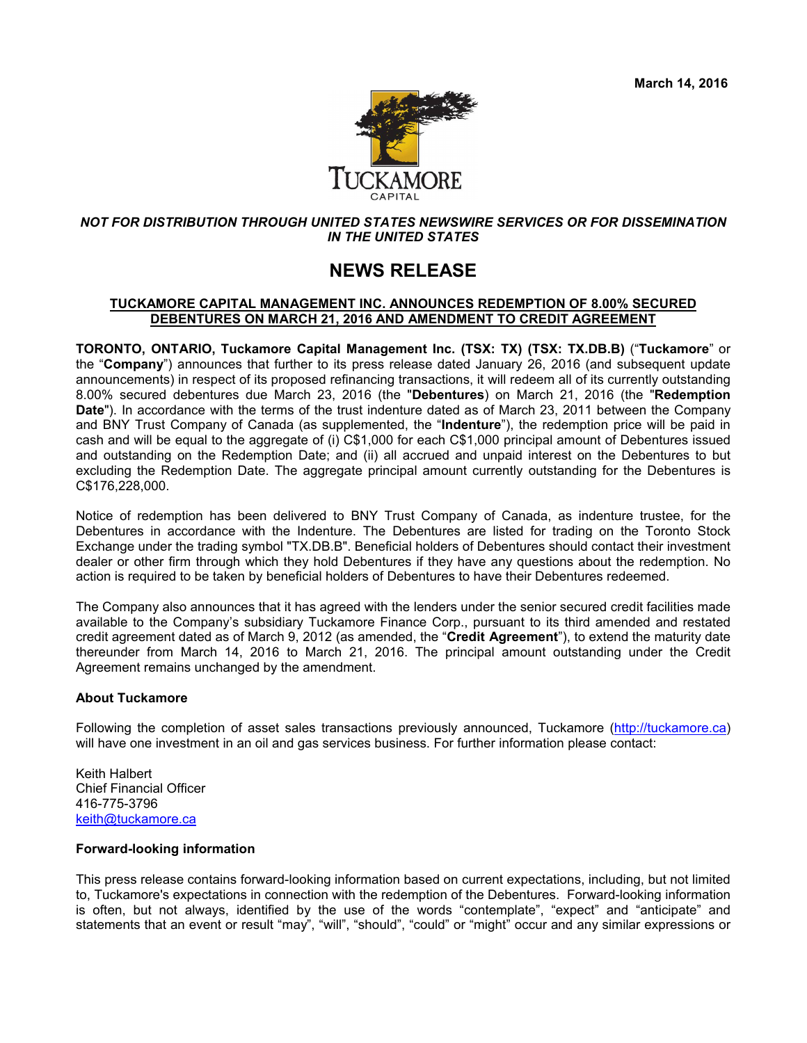

*NOT FOR DISTRIBUTION THROUGH UNITED STATES NEWSWIRE SERVICES OR FOR DISSEMINATION IN THE UNITED STATES*

## **NEWS RELEASE**

## **TUCKAMORE CAPITAL MANAGEMENT INC. ANNOUNCES REDEMPTION OF 8.00% SECURED DEBENTURES ON MARCH 21, 2016 AND AMENDMENT TO CREDIT AGREEMENT**

**TORONTO, ONTARIO, Tuckamore Capital Management Inc. (TSX: TX) (TSX: TX.DB.B)** ("**Tuckamore**" or the "**Company**") announces that further to its press release dated January 26, 2016 (and subsequent update announcements) in respect of its proposed refinancing transactions, it will redeem all of its currently outstanding 8.00% secured debentures due March 23, 2016 (the "**Debentures**) on March 21, 2016 (the "**Redemption Date**"). In accordance with the terms of the trust indenture dated as of March 23, 2011 between the Company and BNY Trust Company of Canada (as supplemented, the "**Indenture**"), the redemption price will be paid in cash and will be equal to the aggregate of (i) C\$1,000 for each C\$1,000 principal amount of Debentures issued and outstanding on the Redemption Date; and (ii) all accrued and unpaid interest on the Debentures to but excluding the Redemption Date. The aggregate principal amount currently outstanding for the Debentures is C\$176,228,000.

Notice of redemption has been delivered to BNY Trust Company of Canada, as indenture trustee, for the Debentures in accordance with the Indenture. The Debentures are listed for trading on the Toronto Stock Exchange under the trading symbol "TX.DB.B". Beneficial holders of Debentures should contact their investment dealer or other firm through which they hold Debentures if they have any questions about the redemption. No action is required to be taken by beneficial holders of Debentures to have their Debentures redeemed.

The Company also announces that it has agreed with the lenders under the senior secured credit facilities made available to the Company's subsidiary Tuckamore Finance Corp., pursuant to its third amended and restated credit agreement dated as of March 9, 2012 (as amended, the "**Credit Agreement**"), to extend the maturity date thereunder from March 14, 2016 to March 21, 2016. The principal amount outstanding under the Credit Agreement remains unchanged by the amendment.

## **About Tuckamore**

Following the completion of asset sales transactions previously announced, Tuckamore [\(http://tuckamore.ca](http://tuckamore.ca/)) will have one investment in an oil and gas services business. For further information please contact:

Keith Halbert Chief Financial Officer 416-775-3796 [keith@tuckamore.ca](mailto:keith@tuckamore.ca)

## **Forward-looking information**

This press release contains forward-looking information based on current expectations, including, but not limited to, Tuckamore's expectations in connection with the redemption of the Debentures. Forward-looking information is often, but not always, identified by the use of the words "contemplate", "expect" and "anticipate" and statements that an event or result "may", "will", "should", "could" or "might" occur and any similar expressions or